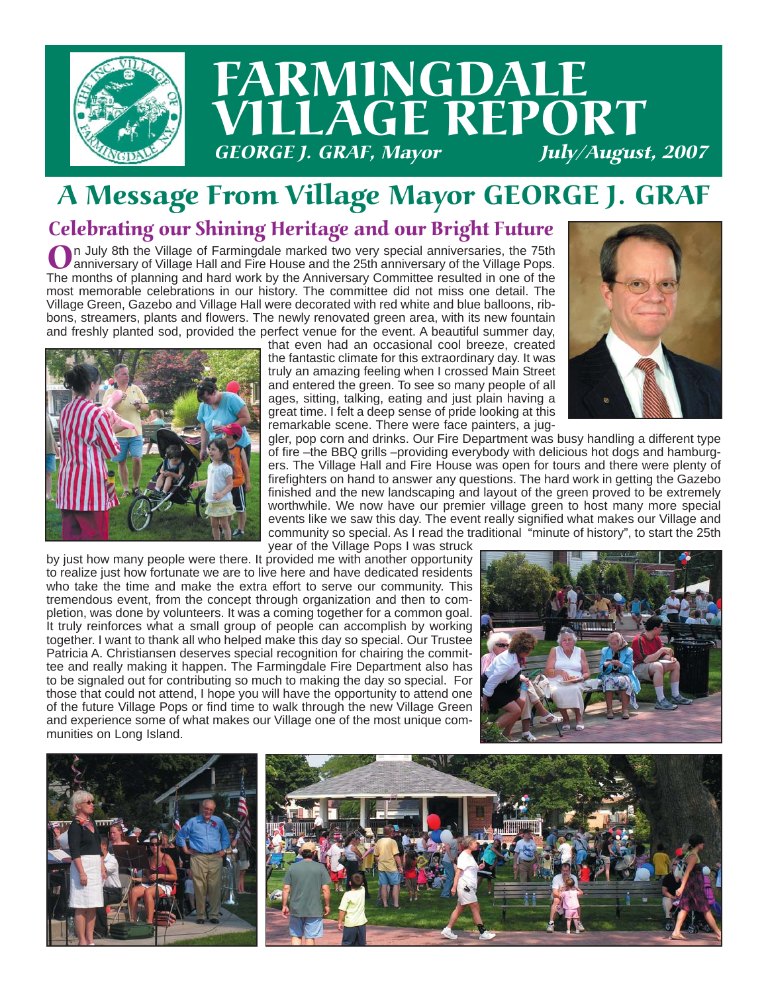

## A Message From Village Mayor GEORGE J. GRAF

### Celebrating our Shining Heritage and our Bright Future

On July 8th the Village of Farmingdale marked two very special anniversaries, the 75th<br>anniversary of Village Hall and Fire House and the 25th anniversary of the Village Pops.<br>The menths of planning and bard work by the An The months of planning and hard work by the Anniversary Committee resulted in one of the most memorable celebrations in our history. The committee did not miss one detail. The Village Green, Gazebo and Village Hall were decorated with red white and blue balloons, ribbons, streamers, plants and flowers. The newly renovated green area, with its new fountain and freshly planted sod, provided the perfect venue for the event. A beautiful summer day,



that even had an occasional cool breeze, created the fantastic climate for this extraordinary day. It was truly an amazing feeling when I crossed Main Street and entered the green. To see so many people of all ages, sitting, talking, eating and just plain having a great time. I felt a deep sense of pride looking at this remarkable scene. There were face painters, a jug-



gler, pop corn and drinks. Our Fire Department was busy handling a different type of fire –the BBQ grills –providing everybody with delicious hot dogs and hamburgers. The Village Hall and Fire House was open for tours and there were plenty of firefighters on hand to answer any questions. The hard work in getting the Gazebo finished and the new landscaping and layout of the green proved to be extremely worthwhile. We now have our premier village green to host many more special events like we saw this day. The event really signified what makes our Village and community so special. As I read the traditional "minute of history", to start the 25th

year of the Village Pops I was struck

by just how many people were there. It provided me with another opportunity to realize just how fortunate we are to live here and have dedicated residents who take the time and make the extra effort to serve our community. This tremendous event, from the concept through organization and then to completion, was done by volunteers. It was a coming together for a common goal. It truly reinforces what a small group of people can accomplish by working together. I want to thank all who helped make this day so special. Our Trustee Patricia A. Christiansen deserves special recognition for chairing the committee and really making it happen. The Farmingdale Fire Department also has to be signaled out for contributing so much to making the day so special. For those that could not attend, I hope you will have the opportunity to attend one of the future Village Pops or find time to walk through the new Village Green and experience some of what makes our Village one of the most unique communities on Long Island.



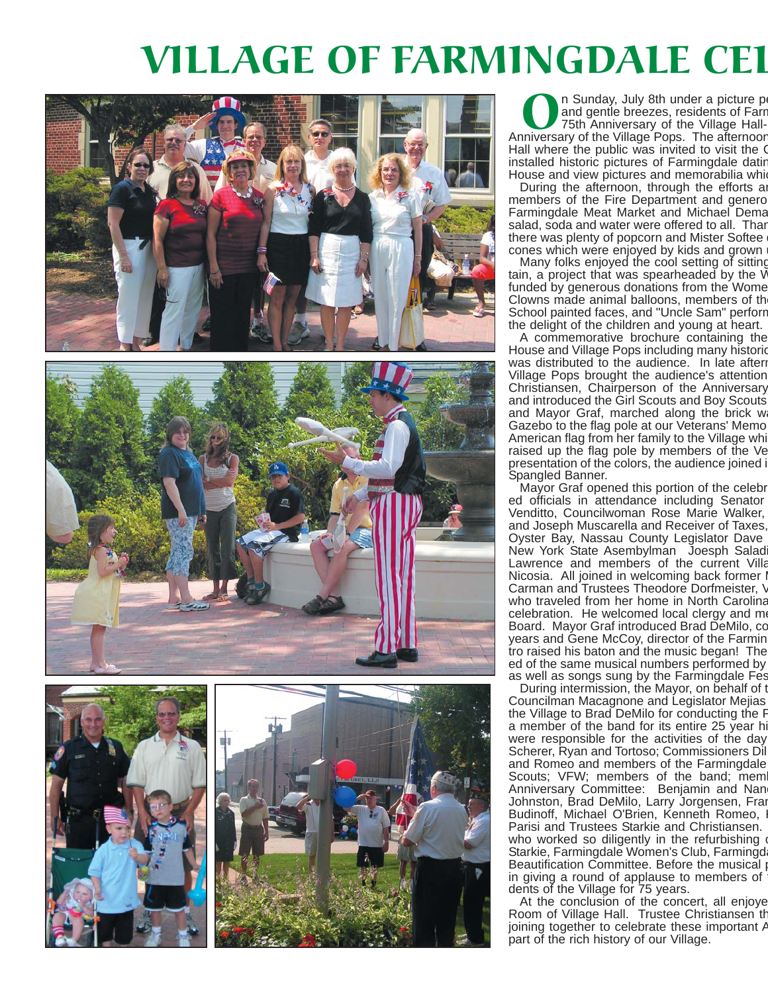# VILLAGE OF FARMINGDALE CEL







In Sunday, July 8th under a picture per and gentle breezes, residents of Farr<br>75th Anniversary of the Village Hall-<br>Iniversary of the Village Pops. The afternoor and gentle breezes, residents of Farm 75th Anniversary of the Village Hall-Anniversary of the Village Pops. The afternoon Hall where the public was invited to visit the C installed historic pictures of Farmingdale datin House and view pictures and memorabilia which

During the afternoon, through the efforts and members of the Fire Department and genero Farmingdale Meat Market and Michael Dema salad, soda and water were offered to all. Thar there was plenty of popcorn and Mister Softee cones which were enjoyed by kids and grown

Many folks enjoyed the cool setting of sitting tain, a project that was spearheaded by the W funded by generous donations from the Wome Clowns made animal balloons, members of th School painted faces, and "Uncle Sam" perforr the delight of the children and young at heart.

A commemorative brochure containing the House and Village Pops including many historic was distributed to the audience. In late aftern Village Pops brought the audience's attention Christiansen, Chairperson of the Anniversary and introduced the Girl Scouts and Boy Scouts and Mayor Graf, marched along the brick w Gazebo to the flag pole at our Veterans' Memo American flag from her family to the Village whi raised up the flag pole by members of the Ve presentation of the colors, the audience joined i Spangled Banner.

Mayor Graf opened this portion of the celebr ed officials in attendance including Senator Venditto, Councilwoman Rose Marie Walker, and Joseph Muscarella and Receiver of Taxes, Oyster Bay, Nassau County Legislator Dave New York State Asembylman Joesph Salad Lawrence and members of the current Villa Nicosia. All joined in welcoming back former I Carman and Trustees Theodore Dorfmeister, V who traveled from her home in North Carolina celebration. He welcomed local clergy and me Board. Mayor Graf introduced Brad DeMilo, co years and Gene McCoy, director of the Farmin tro raised his baton and the music began! The ed of the same musical numbers performed by as well as songs sung by the Farmingdale Fes

During intermission, the Mayor, on behalf of t Councilman Macagnone and Legislator Mejias the Village to Brad DeMilo for conducting the P a member of the band for its entire 25 year hi were responsible for the activities of the day Scherer, Ryan and Tortoso; Commissioners Dil and Romeo and members of the Farmingdale Scouts; VFW; members of the band; mem Anniversary Committee: Benjamin and Nanc Johnston, Brad DeMilo, Larry Jorgensen, Fran Budinoff, Michael O'Brien, Kenneth Romeo, Parisi and Trustees Starkie and Christiansen. who worked so diligently in the refurbishing Starkie, Farmingdale Women's Club, Farmingd Beautification Committee. Before the musical in giving a round of applause to members of dents of the Village for 75 years.

At the conclusion of the concert, all enjoye Room of Village Hall. Trustee Christiansen th joining together to celebrate these important A part of the rich history of our Village.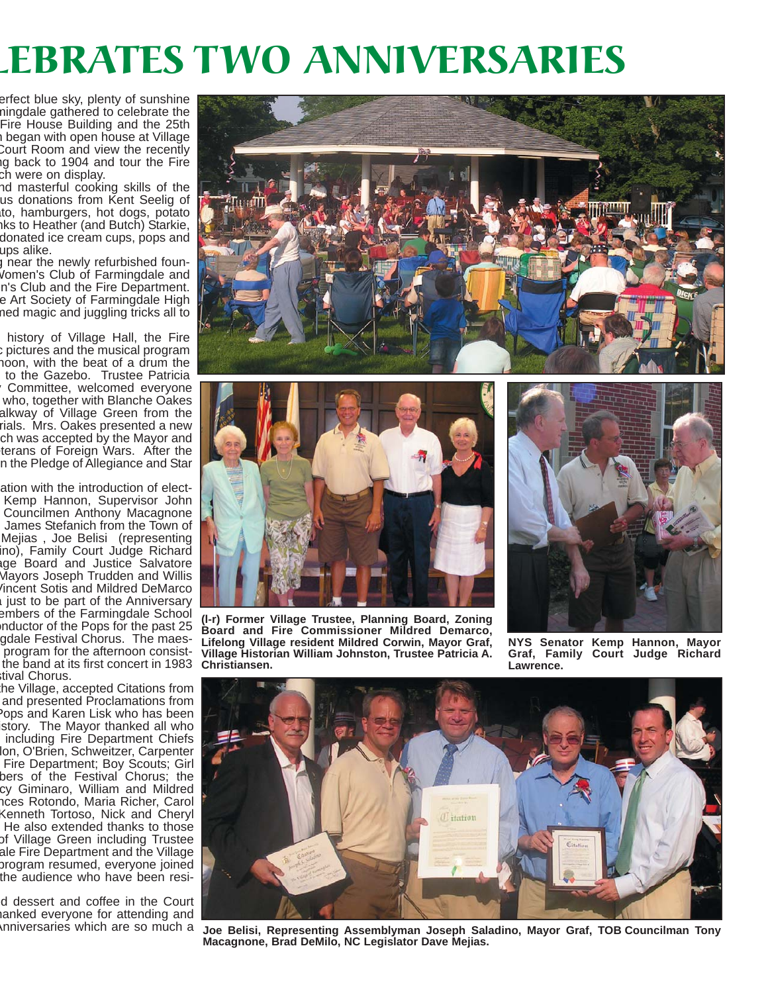# LEBRATES TWO ANNIVERSARIES

erfect blue sky, plenty of sunshine mingdale gathered to celebrate the Fire House Building and the 25th n began with open house at Village Court Room and view the recently ng back to 1904 and tour the Fire ch were on display.

nd masterful cooking skills of the us donations from Kent Seelig of ato, hamburgers, hot dogs, potato nks to Heather (and Butch) Starkie, donated ice cream cups, pops and ups alike.

g near the newly refurbished foun-Women's Club of Farmingdale and n's Club and the Fire Department. e Art Society of Farmingdale High med magic and juggling tricks all to

 history of Village Hall, the Fire c pictures and the musical program noon, with the beat of a drum the to the Gazebo. Trustee Patricia y Committee, welcomed everyone who, together with Blanche Oakes alkway of Village Green from the rials. Mrs. Oakes presented a new ch was accepted by the Mayor and terans of Foreign Wars. After the n the Pledge of Allegiance and Star

ation with the introduction of elect-Kemp Hannon, Supervisor John Councilmen Anthony Macagnone James Stefanich from the Town of Mejias , Joe Belisi (representing ino), Family Court Judge Richard age Board and Justice Salvatore Mayors Joseph Trudden and Willis Vincent Sotis and Mildred DeMarco a just to be part of the Anniversary embers of the Farmingdale School nductor of the Pops for the past 25 gdale Festival Chorus. The maes program for the afternoon consistthe band at its first concert in 1983 stival Chorus.

the Village, accepted Citations from and presented Proclamations from Pops and Karen Lisk who has been istory. The Mayor thanked all who including Fire Department Chiefs lon, O'Brien, Schweitzer, Carpenter Fire Department; Boy Scouts; Girl bers of the Festival Chorus; the cy Giminaro, William and Mildred nces Rotondo, Maria Richer, Carol Kenneth Tortoso, Nick and Cheryl He also extended thanks to those of Village Green including Trustee ale Fire Department and the Village program resumed, everyone joined the audience who have been resi-

d dessert and coffee in the Court hanked everyone for attending and Anniversaries which are so much a





**(l-r) Former Village Trustee, Planning Board, Zoning Board and Fire Commissioner Mildred Demarco, Lifelong Village resident Mildred Corwin, Mayor Graf, Village Historian William Johnston, Trustee Patricia A. Christiansen.**



**NYS Senator Kemp Hannon, Mayor Graf, Family Court Judge Richard Lawrence.**



**Joe Belisi, Representing Assemblyman Joseph Saladino, Mayor Graf, TOB Councilman Tony Macagnone, Brad DeMilo, NC Legislator Dave Mejias.**